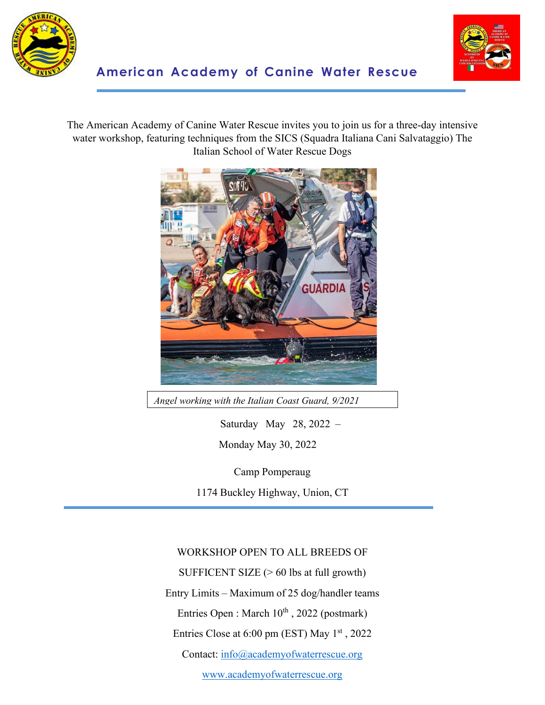



The American Academy of Canine Water Rescue invites you to join us for a three-day intensive water workshop, featuring techniques from the SICS (Squadra Italiana Cani Salvataggio) The Italian School of Water Rescue Dogs



*Angel working with the Italian Coast Guard, 9/2021*

Saturday May 28, 2022 – Monday May 30, 2022

Camp Pomperaug

1174 Buckley Highway, Union, CT

WORKSHOP OPEN TO ALL BREEDS OF

SUFFICENT SIZE (> 60 lbs at full growth)

Entry Limits – Maximum of 25 dog/handler teams

Entries Open : March 10<sup>th</sup>, 2022 (postmark)

Entries Close at 6:00 pm (EST) May 1<sup>st</sup>, 2022

Contact: [info@academyofwaterrescue.org](mailto:info@academyofwaterrescue.org)

[www.academyofwaterrescue.org](http://www.academyofwaterrescue.org/)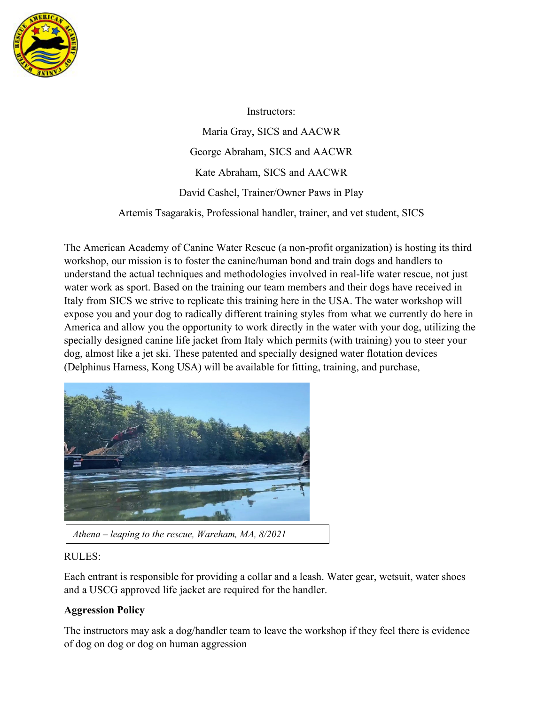

Instructors:

Maria Gray, SICS and AACWR George Abraham, SICS and AACWR Kate Abraham, SICS and AACWR David Cashel, Trainer/Owner Paws in Play

Artemis Tsagarakis, Professional handler, trainer, and vet student, SICS

The American Academy of Canine Water Rescue (a non-profit organization) is hosting its third workshop, our mission is to foster the canine/human bond and train dogs and handlers to understand the actual techniques and methodologies involved in real-life water rescue, not just water work as sport. Based on the training our team members and their dogs have received in Italy from SICS we strive to replicate this training here in the USA. The water workshop will expose you and your dog to radically different training styles from what we currently do here in America and allow you the opportunity to work directly in the water with your dog, utilizing the specially designed canine life jacket from Italy which permits (with training) you to steer your dog, almost like a jet ski. These patented and specially designed water flotation devices (Delphinus Harness, Kong USA) will be available for fitting, training, and purchase,



## RULES:

Each entrant is responsible for providing a collar and a leash. Water gear, wetsuit, water shoes and a USCG approved life jacket are required for the handler.

## **Aggression Policy**

The instructors may ask a dog/handler team to leave the workshop if they feel there is evidence of dog on dog or dog on human aggression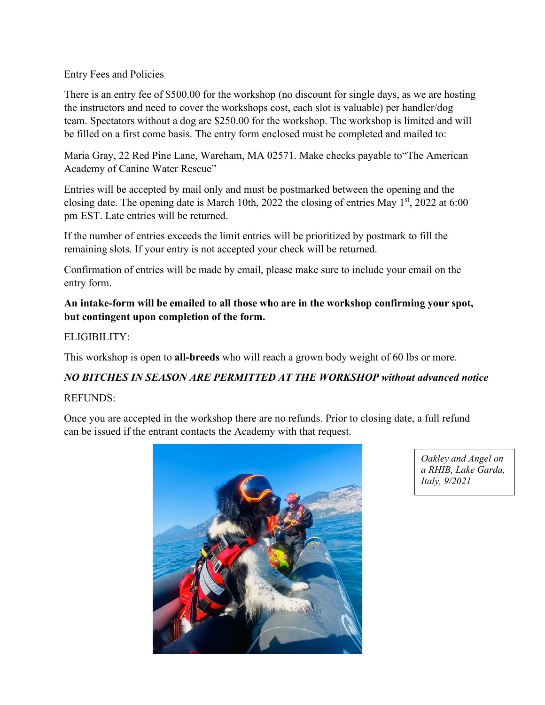#### Entry Fees and Policies

There is an entry fee of \$500.00 for the workshop (no discount for single days, as we are hosting the instructors and need to cover the workshops cost, each slot is valuable) per handler/dog team. Spectators without a dog are \$250.00 for the workshop. The workshop is limited and will be filled on a first come basis. The entry form enclosed must be completed and mailed to:

Maria Gray, 22 Red Pine Lane, Wareham, MA 02571. Make checks payable to"The American Academy of Canine Water Rescue"

Entries will be accepted by mail only and must be postmarked between the opening and the closing date. The opening date is March 10th, 2022 the closing of entries May  $1<sup>st</sup>$ , 2022 at 6:00 pm EST. Late entries will be returned.

If the number of entries exceeds the limit entries will be prioritized by postmark to fill the remaining slots. If your entry is not accepted your check will be returned.

Confirmation of entries will be made by email, please make sure to include your email on the entry form.

### **An intake-form will be emailed to all those who are in the workshop confirming your spot, but contingent upon completion of the form.**

#### ELIGIBILITY:

This workshop is open to **all-breeds** who will reach a grown body weight of 60 lbs or more.

# *NO BITCHES IN SEASON ARE PERMITTED AT THE WORKSHOP without advanced notice*

#### REFUNDS:

Once you are accepted in the workshop there are no refunds. Prior to closing date, a full refund can be issued if the entrant contacts the Academy with that request.



*Oakley and Angel on a RHIB, Lake Garda, Italy, 9/2021*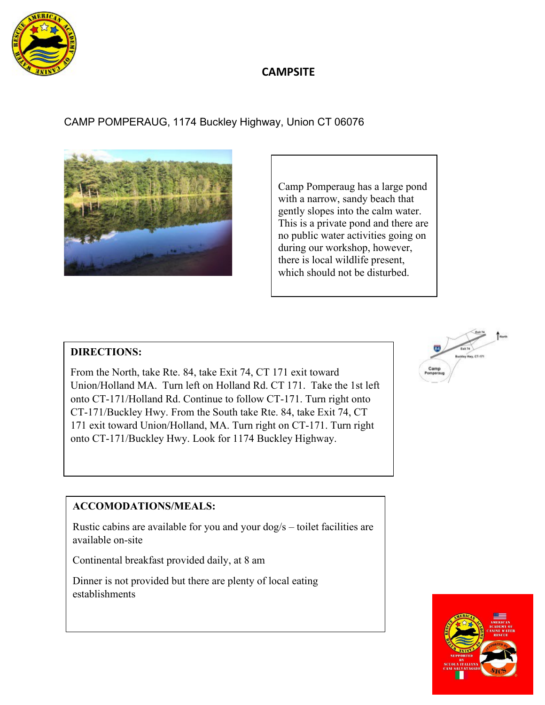

## **CAMPSITE**

CAMP POMPERAUG, 1174 Buckley Highway, Union CT 06076



Camp Pomperaug has a large pond with a narrow, sandy beach that gently slopes into the calm water. This is a private pond and there are no public water activities going on during our workshop, however, there is local wildlife present, which should not be disturbed.

## **DIRECTIONS:**

From the North, take Rte. 84, take Exit 74, CT 171 exit toward Union/Holland MA. Turn left on Holland Rd. CT 171. Take the 1st left onto CT-171/Holland Rd. Continue to follow CT-171. Turn right onto CT-171/Buckley Hwy. From the South take Rte. 84, take Exit 74, CT 171 exit toward Union/Holland, MA. Turn right on CT-171. Turn right onto CT-171/Buckley Hwy. Look for 1174 Buckley Highway.



## **ACCOMODATIONS/MEALS:**

Rustic cabins are available for you and your dog/s – toilet facilities are available on-site

Continental breakfast provided daily, at 8 am

Dinner is not provided but there are plenty of local eating establishments